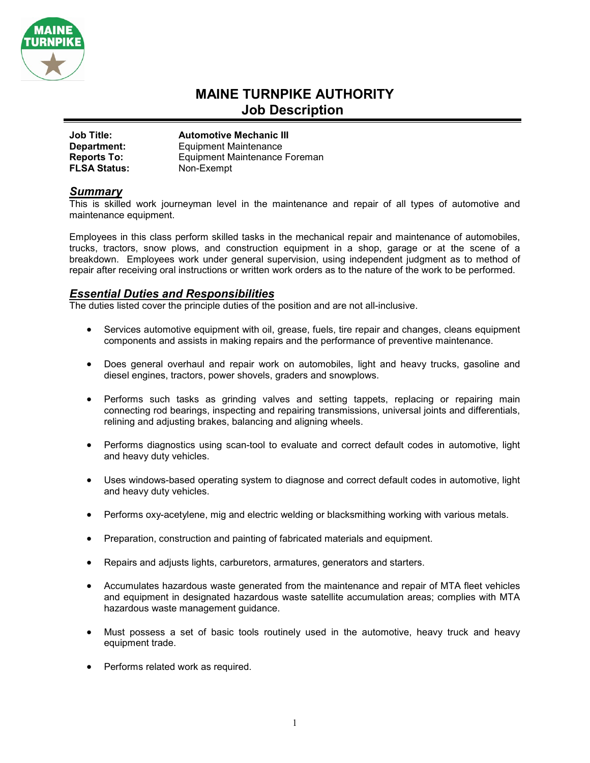

# **MAINE TURNPIKE AUTHORITY Job Description**

| <b>Job Title:</b>   | <b>Automotive Mechanic III</b>       |
|---------------------|--------------------------------------|
| Department:         | <b>Equipment Maintenance</b>         |
| <b>Reports To:</b>  | <b>Equipment Maintenance Foreman</b> |
| <b>FLSA Status:</b> | Non-Exempt                           |

### *Summary*

This is skilled work journeyman level in the maintenance and repair of all types of automotive and maintenance equipment.

Employees in this class perform skilled tasks in the mechanical repair and maintenance of automobiles, trucks, tractors, snow plows, and construction equipment in a shop, garage or at the scene of a breakdown. Employees work under general supervision, using independent judgment as to method of repair after receiving oral instructions or written work orders as to the nature of the work to be performed.

## *Essential Duties and Responsibilities*

The duties listed cover the principle duties of the position and are not all-inclusive.

- Services automotive equipment with oil, grease, fuels, tire repair and changes, cleans equipment components and assists in making repairs and the performance of preventive maintenance.
- Does general overhaul and repair work on automobiles, light and heavy trucks, gasoline and diesel engines, tractors, power shovels, graders and snowplows.
- Performs such tasks as grinding valves and setting tappets, replacing or repairing main connecting rod bearings, inspecting and repairing transmissions, universal joints and differentials, relining and adjusting brakes, balancing and aligning wheels.
- Performs diagnostics using scan-tool to evaluate and correct default codes in automotive, light and heavy duty vehicles.
- Uses windows-based operating system to diagnose and correct default codes in automotive, light and heavy duty vehicles.
- Performs oxy-acetylene, mig and electric welding or blacksmithing working with various metals.
- Preparation, construction and painting of fabricated materials and equipment.
- Repairs and adjusts lights, carburetors, armatures, generators and starters.
- Accumulates hazardous waste generated from the maintenance and repair of MTA fleet vehicles and equipment in designated hazardous waste satellite accumulation areas; complies with MTA hazardous waste management guidance.
- Must possess a set of basic tools routinely used in the automotive, heavy truck and heavy equipment trade.
- Performs related work as required.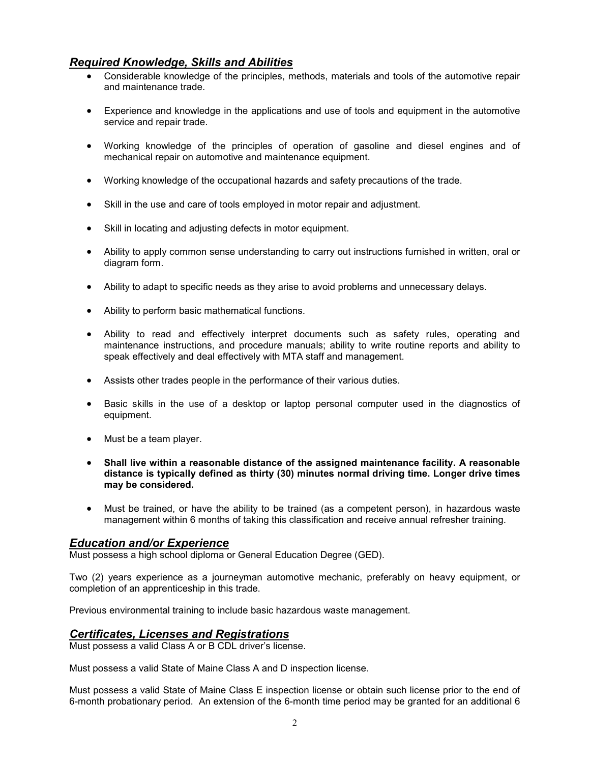# *Required Knowledge, Skills and Abilities*

- Considerable knowledge of the principles, methods, materials and tools of the automotive repair and maintenance trade.
- Experience and knowledge in the applications and use of tools and equipment in the automotive service and repair trade.
- Working knowledge of the principles of operation of gasoline and diesel engines and of mechanical repair on automotive and maintenance equipment.
- Working knowledge of the occupational hazards and safety precautions of the trade.
- Skill in the use and care of tools employed in motor repair and adjustment.
- Skill in locating and adjusting defects in motor equipment.
- Ability to apply common sense understanding to carry out instructions furnished in written, oral or diagram form.
- Ability to adapt to specific needs as they arise to avoid problems and unnecessary delays.
- Ability to perform basic mathematical functions.
- Ability to read and effectively interpret documents such as safety rules, operating and maintenance instructions, and procedure manuals; ability to write routine reports and ability to speak effectively and deal effectively with MTA staff and management.
- Assists other trades people in the performance of their various duties.
- Basic skills in the use of a desktop or laptop personal computer used in the diagnostics of equipment.
- Must be a team player.
- **Shall live within a reasonable distance of the assigned maintenance facility. A reasonable distance is typically defined as thirty (30) minutes normal driving time. Longer drive times may be considered.**
- Must be trained, or have the ability to be trained (as a competent person), in hazardous waste management within 6 months of taking this classification and receive annual refresher training.

### *Education and/or Experience*

Must possess a high school diploma or General Education Degree (GED).

Two (2) years experience as a journeyman automotive mechanic, preferably on heavy equipment, or completion of an apprenticeship in this trade.

Previous environmental training to include basic hazardous waste management.

### *Certificates, Licenses and Registrations*

Must possess a valid Class A or B CDL driver's license.

Must possess a valid State of Maine Class A and D inspection license.

Must possess a valid State of Maine Class E inspection license or obtain such license prior to the end of 6-month probationary period. An extension of the 6-month time period may be granted for an additional 6